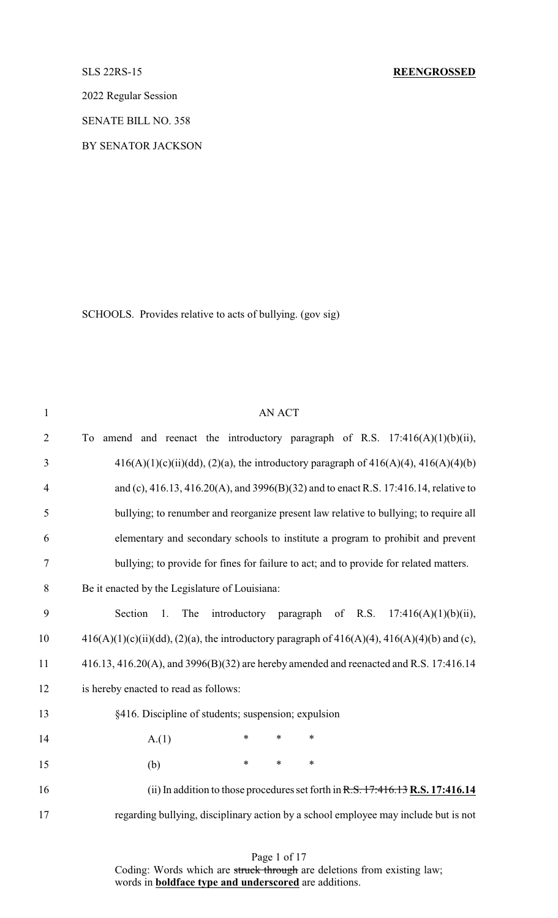2022 Regular Session

SENATE BILL NO. 358

BY SENATOR JACKSON

SCHOOLS. Provides relative to acts of bullying. (gov sig)

| $\mathbf{1}$   | <b>AN ACT</b>                                                                                        |
|----------------|------------------------------------------------------------------------------------------------------|
| $\overline{2}$ | To amend and reenact the introductory paragraph of R.S. $17:416(A)(1)(b)(ii)$ ,                      |
| 3              | $416(A)(1)(c)(ii)(dd), (2)(a)$ , the introductory paragraph of $416(A)(4)$ , $416(A)(4)(b)$          |
| $\overline{4}$ | and (c), 416.13, 416.20(A), and 3996(B)(32) and to enact R.S. 17:416.14, relative to                 |
| 5              | bullying; to renumber and reorganize present law relative to bullying; to require all                |
| 6              | elementary and secondary schools to institute a program to prohibit and prevent                      |
| 7              | bullying; to provide for fines for failure to act; and to provide for related matters.               |
| 8              | Be it enacted by the Legislature of Louisiana:                                                       |
| 9              | Section<br>introductory<br>paragraph of R.S. $17:416(A)(1)(b)(ii)$ ,<br>1.<br>The                    |
| 10             | $416(A)(1)(c)(ii)(dd), (2)(a)$ , the introductory paragraph of $416(A)(4)$ , $416(A)(4)(b)$ and (c), |
| 11             | 416.13, 416.20(A), and 3996(B)(32) are hereby amended and reenacted and R.S. 17:416.14               |
| 12             | is hereby enacted to read as follows:                                                                |
| 13             | §416. Discipline of students; suspension; expulsion                                                  |
| 14             | A.(1)<br>$\ast$<br>$\ast$<br>$\ast$                                                                  |
| 15             | $\ast$<br>$\ast$<br>$\ast$<br>(b)                                                                    |
| 16             | (ii) In addition to those procedures set forth in $R.S. 17:416.13 R.S. 17:416.14$                    |
| 17             | regarding bullying, disciplinary action by a school employee may include but is not                  |
|                |                                                                                                      |

Page 1 of 17 Coding: Words which are struck through are deletions from existing law; words in **boldface type and underscored** are additions.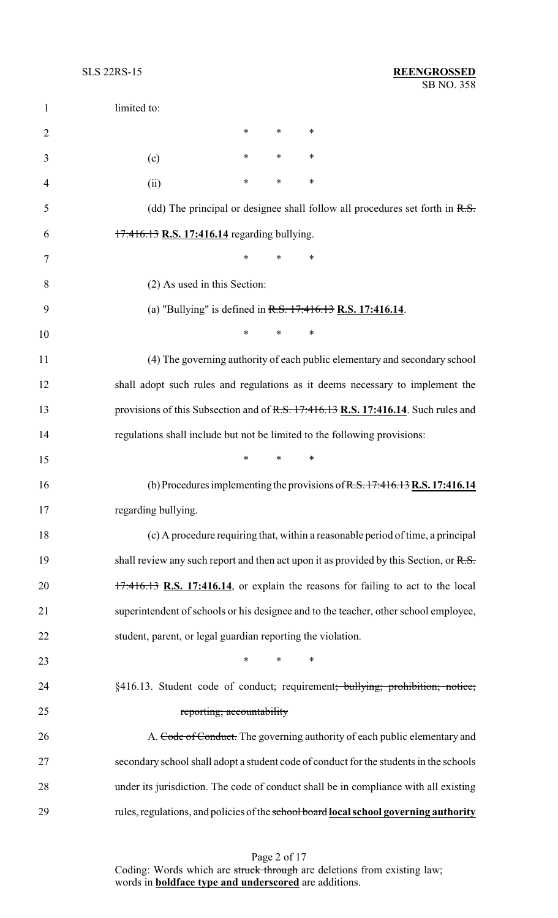| $\mathbf{1}$   | limited to:                                                               |        |        |                                                                                           |
|----------------|---------------------------------------------------------------------------|--------|--------|-------------------------------------------------------------------------------------------|
| $\overline{2}$ |                                                                           | $\ast$ | $\ast$ | ∗                                                                                         |
| 3              | (c)                                                                       | ∗      | ∗      | ∗                                                                                         |
| $\overline{4}$ | (ii)                                                                      | ∗      | *      | ∗                                                                                         |
| 5              |                                                                           |        |        | (dd) The principal or designee shall follow all procedures set forth in $R.S.$            |
| 6              | 17:416.13 R.S. 17:416.14 regarding bullying.                              |        |        |                                                                                           |
| 7              |                                                                           | ∗      | $\ast$ | ∗                                                                                         |
| 8              | (2) As used in this Section:                                              |        |        |                                                                                           |
| 9              |                                                                           |        |        | (a) "Bullying" is defined in $R.S. 17:416.13 R.S. 17:416.14$ .                            |
| 10             |                                                                           | $\ast$ | *      | $\ast$                                                                                    |
| 11             |                                                                           |        |        | (4) The governing authority of each public elementary and secondary school                |
| 12             |                                                                           |        |        | shall adopt such rules and regulations as it deems necessary to implement the             |
| 13             |                                                                           |        |        | provisions of this Subsection and of R.S. 17:416.13 R.S. 17:416.14. Such rules and        |
| 14             | regulations shall include but not be limited to the following provisions: |        |        |                                                                                           |
| 15             |                                                                           | $\ast$ | ∗      | ∗                                                                                         |
| 16             |                                                                           |        |        | (b) Procedures implementing the provisions of $R.S. 17:416.13 R.S. 17:416.14$             |
| 17             | regarding bullying                                                        |        |        |                                                                                           |
| 18             |                                                                           |        |        | (c) A procedure requiring that, within a reasonable period of time, a principal           |
| 19             |                                                                           |        |        | shall review any such report and then act upon it as provided by this Section, or R.S.    |
| 20             |                                                                           |        |        | $17:416.13$ R.S. 17:416.14, or explain the reasons for failing to act to the local        |
| 21             |                                                                           |        |        | superintendent of schools or his designee and to the teacher, other school employee,      |
| 22             | student, parent, or legal guardian reporting the violation.               |        |        |                                                                                           |
| 23             |                                                                           | $\ast$ | $\ast$ | ∗                                                                                         |
| 24             |                                                                           |        |        | §416.13. Student code of conduct; requirement <del>; bullying; prohibition; notice;</del> |
| 25             | reporting; accountability                                                 |        |        |                                                                                           |
| 26             |                                                                           |        |        | A. Code of Conduct. The governing authority of each public elementary and                 |
| 27             |                                                                           |        |        | secondary school shall adopt a student code of conduct for the students in the schools    |
| 28             |                                                                           |        |        | under its jurisdiction. The code of conduct shall be in compliance with all existing      |
| 29             |                                                                           |        |        | rules, regulations, and policies of the school board local school governing authority     |
|                |                                                                           |        |        |                                                                                           |

Page 2 of 17 Coding: Words which are struck through are deletions from existing law; words in **boldface type and underscored** are additions.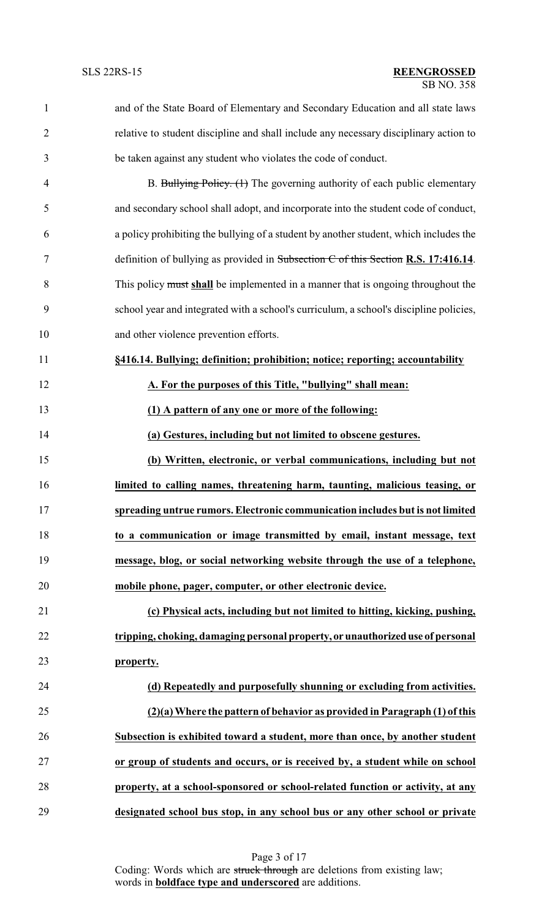| $\mathbf{1}$   | and of the State Board of Elementary and Secondary Education and all state laws        |
|----------------|----------------------------------------------------------------------------------------|
| $\overline{2}$ | relative to student discipline and shall include any necessary disciplinary action to  |
| 3              | be taken against any student who violates the code of conduct.                         |
| $\overline{4}$ | B. Bullying Policy. (1) The governing authority of each public elementary              |
| 5              | and secondary school shall adopt, and incorporate into the student code of conduct,    |
| 6              | a policy prohibiting the bullying of a student by another student, which includes the  |
| 7              | definition of bullying as provided in Subsection $C$ of this Section R.S. 17:416.14.   |
| 8              | This policy must shall be implemented in a manner that is ongoing throughout the       |
| 9              | school year and integrated with a school's curriculum, a school's discipline policies, |
| 10             | and other violence prevention efforts.                                                 |
| 11             | §416.14. Bullying; definition; prohibition; notice; reporting; accountability          |
| 12             | A. For the purposes of this Title, "bullying" shall mean:                              |
| 13             | (1) A pattern of any one or more of the following:                                     |
| 14             | (a) Gestures, including but not limited to obscene gestures.                           |
| 15             | (b) Written, electronic, or verbal communications, including but not                   |
| 16             | limited to calling names, threatening harm, taunting, malicious teasing, or            |
| 17             | spreading untrue rumors. Electronic communication includes but is not limited          |
| 18             | to a communication or image transmitted by email, instant message, text                |
| 19             | message, blog, or social networking website through the use of a telephone,            |
| 20             | mobile phone, pager, computer, or other electronic device.                             |
| 21             | (c) Physical acts, including but not limited to hitting, kicking, pushing,             |
| 22             | tripping, choking, damaging personal property, or unauthorized use of personal         |
| 23             | property.                                                                              |
| 24             | (d) Repeatedly and purposefully shunning or excluding from activities.                 |
| 25             | (2)(a) Where the pattern of behavior as provided in Paragraph (1) of this              |
| 26             | Subsection is exhibited toward a student, more than once, by another student           |
| 27             | or group of students and occurs, or is received by, a student while on school          |
| 28             | property, at a school-sponsored or school-related function or activity, at any         |
| 29             | designated school bus stop, in any school bus or any other school or private           |

Page 3 of 17 Coding: Words which are struck through are deletions from existing law; words in **boldface type and underscored** are additions.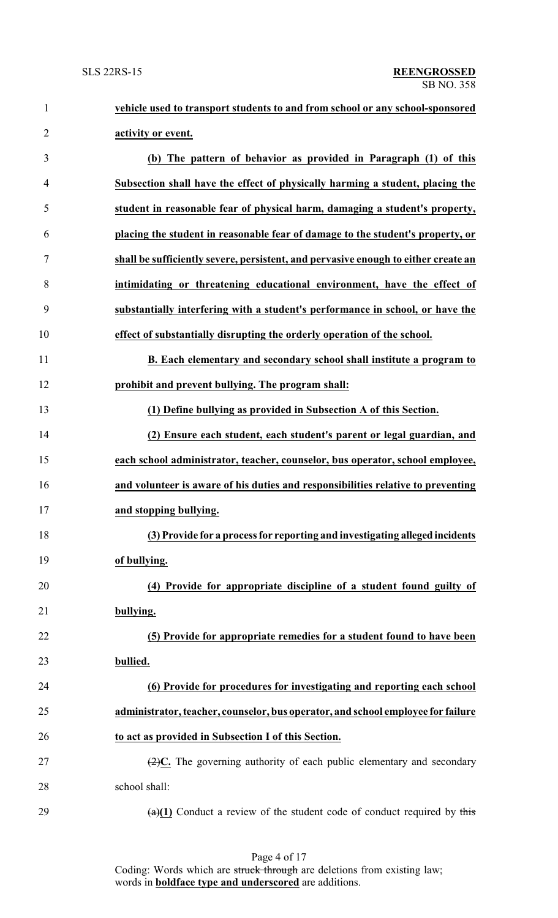| 1              | vehicle used to transport students to and from school or any school-sponsored                 |
|----------------|-----------------------------------------------------------------------------------------------|
| $\overline{2}$ | activity or event.                                                                            |
| 3              | (b) The pattern of behavior as provided in Paragraph (1) of this                              |
| 4              | Subsection shall have the effect of physically harming a student, placing the                 |
| 5              | student in reasonable fear of physical harm, damaging a student's property,                   |
| 6              | placing the student in reasonable fear of damage to the student's property, or                |
| 7              | shall be sufficiently severe, persistent, and pervasive enough to either create an            |
| 8              | intimidating or threatening educational environment, have the effect of                       |
| 9              | substantially interfering with a student's performance in school, or have the                 |
| 10             | effect of substantially disrupting the orderly operation of the school.                       |
| 11             | B. Each elementary and secondary school shall institute a program to                          |
| 12             | prohibit and prevent bullying. The program shall:                                             |
| 13             | (1) Define bullying as provided in Subsection A of this Section.                              |
| 14             | (2) Ensure each student, each student's parent or legal guardian, and                         |
| 15             | each school administrator, teacher, counselor, bus operator, school employee,                 |
| 16             | and volunteer is aware of his duties and responsibilities relative to preventing              |
| 17             | and stopping bullying.                                                                        |
| 18             | (3) Provide for a process for reporting and investigating alleged incidents                   |
| 19             | of bullying.                                                                                  |
| 20             | (4) Provide for appropriate discipline of a student found guilty of                           |
| 21             | bullying.                                                                                     |
| 22             | (5) Provide for appropriate remedies for a student found to have been                         |
| 23             | bullied.                                                                                      |
| 24             | (6) Provide for procedures for investigating and reporting each school                        |
| 25             | administrator, teacher, counselor, bus operator, and school employee for failure              |
| 26             | to act as provided in Subsection I of this Section.                                           |
| 27             | $\left(\frac{2}{2}\right)C$ . The governing authority of each public elementary and secondary |
| 28             | school shall:                                                                                 |
| 29             | $\frac{a(1)}{1}$ Conduct a review of the student code of conduct required by this             |

Page 4 of 17 Coding: Words which are struck through are deletions from existing law; words in **boldface type and underscored** are additions.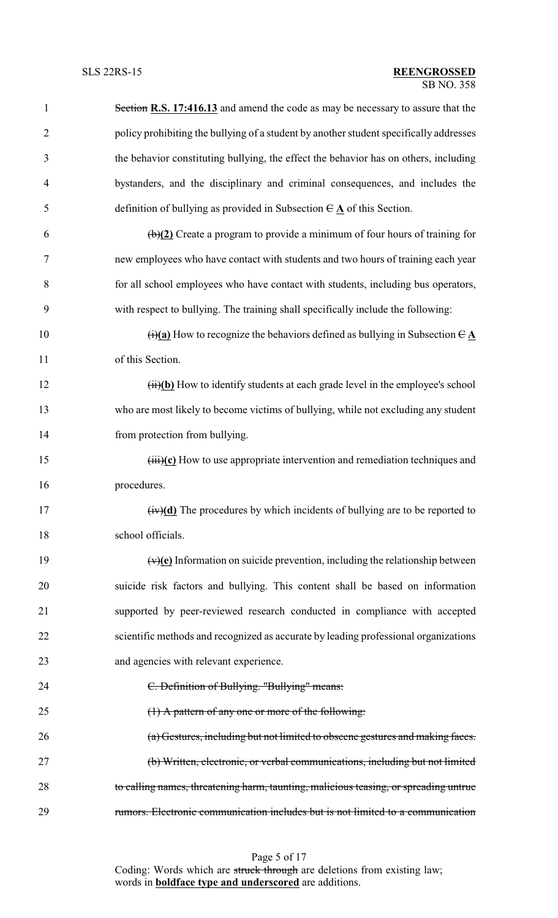| $\mathbf{1}$   | Section R.S. 17:416.13 and amend the code as may be necessary to assure that the                                   |
|----------------|--------------------------------------------------------------------------------------------------------------------|
| $\overline{2}$ | policy prohibiting the bullying of a student by another student specifically addresses                             |
| 3              | the behavior constituting bullying, the effect the behavior has on others, including                               |
| $\overline{4}$ | bystanders, and the disciplinary and criminal consequences, and includes the                                       |
| 5              | definition of bullying as provided in Subsection $\theta \mathbf{A}$ of this Section.                              |
| 6              | $\left(\frac{b}{2}\right)$ Create a program to provide a minimum of four hours of training for                     |
| $\tau$         | new employees who have contact with students and two hours of training each year                                   |
| 8              | for all school employees who have contact with students, including bus operators,                                  |
| 9              | with respect to bullying. The training shall specifically include the following:                                   |
| 10             | $\overrightarrow{(i)}$ (a) How to recognize the behaviors defined as bullying in Subsection $\overrightarrow{C}$ A |
| 11             | of this Section.                                                                                                   |
| 12             | $(ii)(b)$ How to identify students at each grade level in the employee's school                                    |
| 13             | who are most likely to become victims of bullying, while not excluding any student                                 |
| 14             | from protection from bullying.                                                                                     |
| 15             | $\overrightarrow{(\text{iii})(\text{c})}$ How to use appropriate intervention and remediation techniques and       |
| 16             | procedures.                                                                                                        |
| 17             | $(iv)(d)$ The procedures by which incidents of bullying are to be reported to                                      |
| 18             | school officials.                                                                                                  |
| 19             | $(v)(e)$ Information on suicide prevention, including the relationship between                                     |
| 20             | suicide risk factors and bullying. This content shall be based on information                                      |
| 21             | supported by peer-reviewed research conducted in compliance with accepted                                          |
| 22             | scientific methods and recognized as accurate by leading professional organizations                                |
| 23             | and agencies with relevant experience.                                                                             |
| 24             | C. Definition of Bullying. "Bullying" means:                                                                       |
| 25             | $(1)$ A pattern of any one or more of the following:                                                               |
| 26             | (a) Gestures, including but not limited to obscene gestures and making faces.                                      |
| 27             | (b) Written, electronic, or verbal communications, including but not limited                                       |
| 28             | to calling names, threatening harm, taunting, malicious teasing, or spreading untrue                               |
| 29             | rumors. Electronic communication includes but is not limited to a communication                                    |

Page 5 of 17 Coding: Words which are struck through are deletions from existing law; words in **boldface type and underscored** are additions.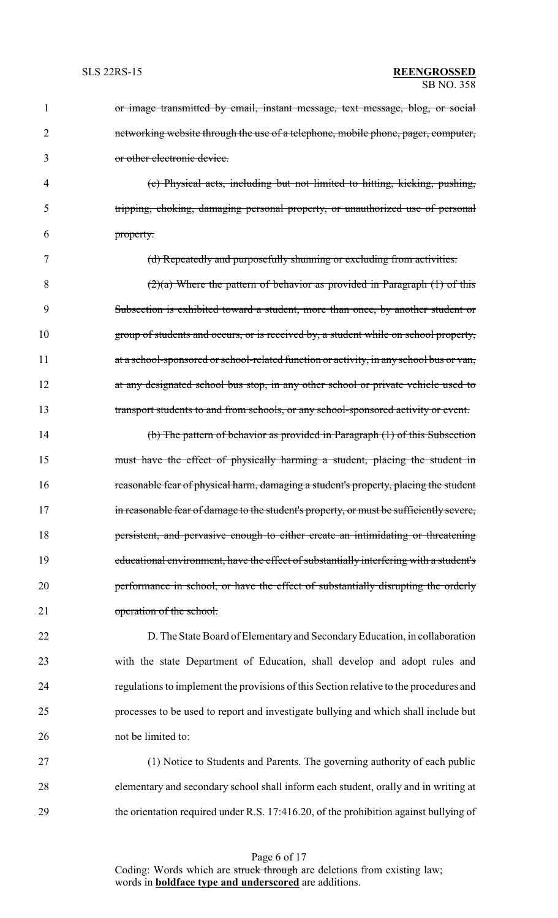| 1  | or image transmitted by email, instant message, text message, blog, or social           |
|----|-----------------------------------------------------------------------------------------|
| 2  | networking website through the use of a telephone, mobile phone, pager, computer,       |
| 3  | or other electronic device.                                                             |
| 4  | (c) Physical acts, including but not limited to hitting, kicking, pushing,              |
| 5  | tripping, choking, damaging personal property, or unauthorized use of personal          |
| 6  | property.                                                                               |
| 7  | (d) Repeatedly and purposefully shunning or excluding from activities.                  |
| 8  | $(2)(a)$ Where the pattern of behavior as provided in Paragraph $(1)$ of this           |
| 9  | Subsection is exhibited toward a student, more than once, by another student or         |
| 10 | group of students and occurs, or is received by, a student while on school property,    |
| 11 | at a school-sponsored or school-related function or activity, in any school bus or van, |
| 12 | at any designated school bus stop, in any other school or private vehicle used to       |
| 13 | transport students to and from schools, or any school-sponsored activity or event.      |
| 14 | (b) The pattern of behavior as provided in Paragraph (1) of this Subsection             |
| 15 | must have the effect of physically harming a student, placing the student in            |
| 16 | reasonable fear of physical harm, damaging a student's property, placing the student    |
| 17 | in reasonable fear of damage to the student's property, or must be sufficiently severe, |
| 18 | persistent, and pervasive enough to either create an intimidating or threatening        |
| 19 | educational environment, have the effect of substantially interfering with a student's  |
| 20 | performance in school, or have the effect of substantially disrupting the orderly       |
| 21 | operation of the school.                                                                |
| 22 | D. The State Board of Elementary and Secondary Education, in collaboration              |
| 23 | with the state Department of Education, shall develop and adopt rules and               |
| 24 | regulations to implement the provisions of this Section relative to the procedures and  |
| 25 | processes to be used to report and investigate bullying and which shall include but     |
| 26 | not be limited to:                                                                      |
| 27 | (1) Notice to Students and Parents. The governing authority of each public              |
| 28 | elementary and secondary school shall inform each student, orally and in writing at     |

29 the orientation required under R.S. 17:416.20, of the prohibition against bullying of

Page 6 of 17 Coding: Words which are struck through are deletions from existing law; words in **boldface type and underscored** are additions.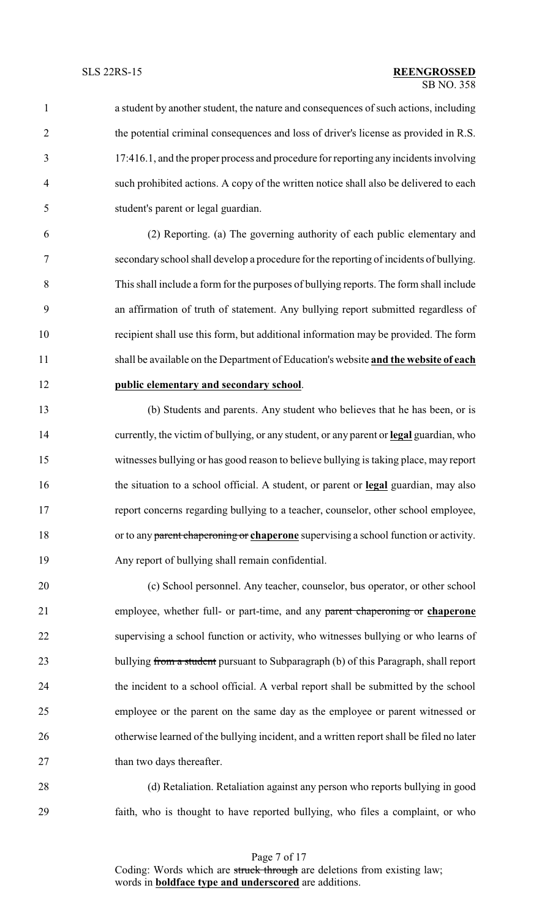a student by another student, the nature and consequences of such actions, including the potential criminal consequences and loss of driver's license as provided in R.S. 17:416.1, and the proper process and procedure for reporting any incidents involving such prohibited actions. A copy of the written notice shall also be delivered to each student's parent or legal guardian.

 (2) Reporting. (a) The governing authority of each public elementary and secondary school shall develop a procedure for the reporting of incidents of bullying. This shall include a form for the purposes of bullying reports. The form shall include an affirmation of truth of statement. Any bullying report submitted regardless of recipient shall use this form, but additional information may be provided. The form shall be available on the Department of Education's website **and the website of each public elementary and secondary school**.

 (b) Students and parents. Any student who believes that he has been, or is currently, the victim of bullying, or any student, or any parent or **legal** guardian, who witnesses bullying or has good reason to believe bullying is taking place, may report the situation to a school official. A student, or parent or **legal** guardian, may also report concerns regarding bullying to a teacher, counselor, other school employee, or to any parent chaperoning or **chaperone** supervising a school function or activity. Any report of bullying shall remain confidential.

 (c) School personnel. Any teacher, counselor, bus operator, or other school employee, whether full- or part-time, and any parent chaperoning or **chaperone** supervising a school function or activity, who witnesses bullying or who learns of 23 bullying from a student pursuant to Subparagraph (b) of this Paragraph, shall report the incident to a school official. A verbal report shall be submitted by the school employee or the parent on the same day as the employee or parent witnessed or 26 otherwise learned of the bullying incident, and a written report shall be filed no later 27 than two days thereafter.

 (d) Retaliation. Retaliation against any person who reports bullying in good faith, who is thought to have reported bullying, who files a complaint, or who

Page 7 of 17 Coding: Words which are struck through are deletions from existing law; words in **boldface type and underscored** are additions.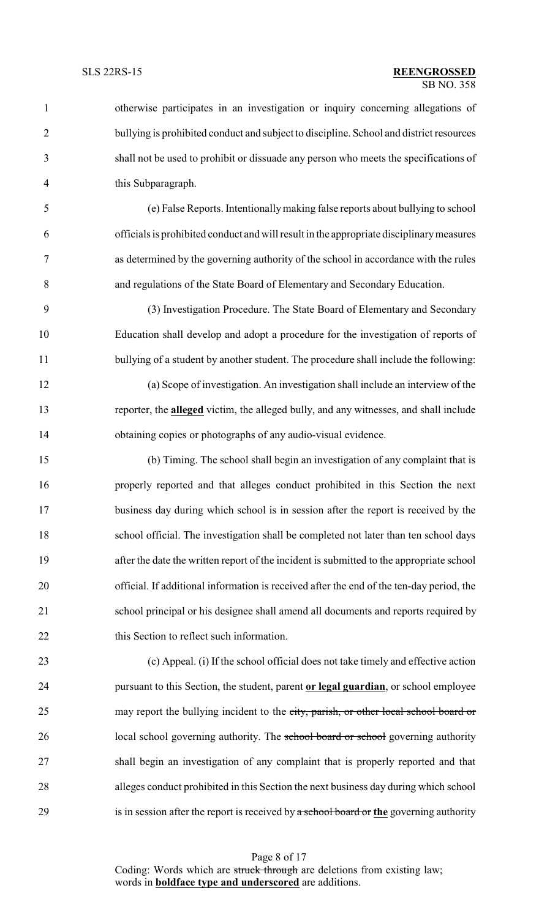otherwise participates in an investigation or inquiry concerning allegations of bullying is prohibited conduct and subject to discipline. School and district resources shall not be used to prohibit or dissuade any person who meets the specifications of this Subparagraph. (e) False Reports. Intentionallymaking false reports about bullying to school officials is prohibited conduct and will result in the appropriate disciplinarymeasures as determined by the governing authority of the school in accordance with the rules and regulations of the State Board of Elementary and Secondary Education. (3) Investigation Procedure. The State Board of Elementary and Secondary Education shall develop and adopt a procedure for the investigation of reports of 11 bullying of a student by another student. The procedure shall include the following: (a) Scope of investigation. An investigation shall include an interview of the reporter, the **alleged** victim, the alleged bully, and any witnesses, and shall include obtaining copies or photographs of any audio-visual evidence. (b) Timing. The school shall begin an investigation of any complaint that is properly reported and that alleges conduct prohibited in this Section the next business day during which school is in session after the report is received by the school official. The investigation shall be completed not later than ten school days after the date the written report of the incident is submitted to the appropriate school official. If additional information is received after the end of the ten-day period, the school principal or his designee shall amend all documents and reports required by 22 this Section to reflect such information. (c) Appeal. (i) If the school official does not take timely and effective action pursuant to this Section, the student, parent **or legal guardian**, or school employee 25 may report the bullying incident to the city, parish, or other local school board or 26 local school governing authority. The school board or school governing authority shall begin an investigation of any complaint that is properly reported and that alleges conduct prohibited in this Section the next business day during which school is in session after the report is received by a school board or **the** governing authority

> Page 8 of 17 Coding: Words which are struck through are deletions from existing law; words in **boldface type and underscored** are additions.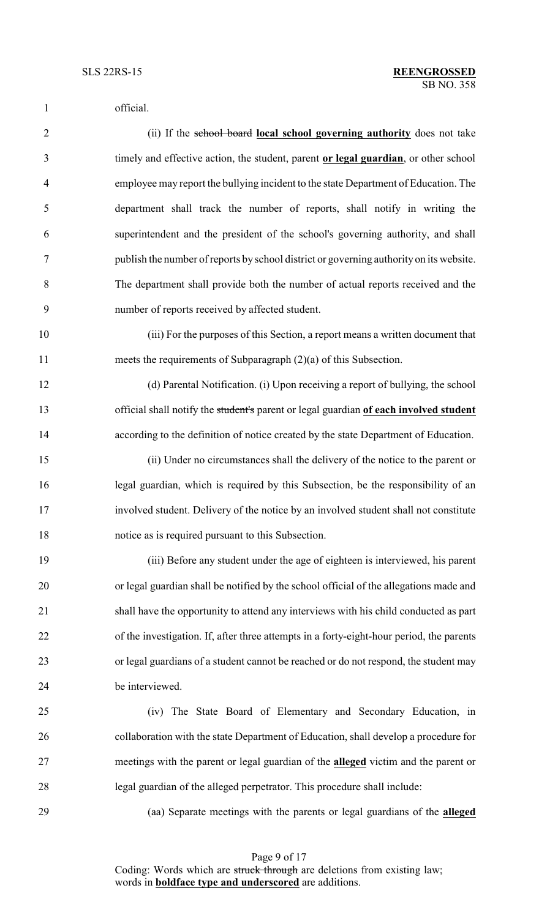| $\mathbf{1}$   | official.                                                                                 |
|----------------|-------------------------------------------------------------------------------------------|
| $\overline{2}$ | (ii) If the school board local school governing authority does not take                   |
| 3              | timely and effective action, the student, parent or legal guardian, or other school       |
| $\overline{4}$ | employee may report the bullying incident to the state Department of Education. The       |
| 5              | department shall track the number of reports, shall notify in writing the                 |
| 6              | superintendent and the president of the school's governing authority, and shall           |
| $\overline{7}$ | publish the number of reports by school district or governing authority on its website.   |
| 8              | The department shall provide both the number of actual reports received and the           |
| 9              | number of reports received by affected student.                                           |
| 10             | (iii) For the purposes of this Section, a report means a written document that            |
| 11             | meets the requirements of Subparagraph $(2)(a)$ of this Subsection.                       |
| 12             | (d) Parental Notification. (i) Upon receiving a report of bullying, the school            |
| 13             | official shall notify the student's parent or legal guardian of each involved student     |
| 14             | according to the definition of notice created by the state Department of Education.       |
| 15             | (ii) Under no circumstances shall the delivery of the notice to the parent or             |
| 16             | legal guardian, which is required by this Subsection, be the responsibility of an         |
| 17             | involved student. Delivery of the notice by an involved student shall not constitute      |
| 18             | notice as is required pursuant to this Subsection.                                        |
| 19             | (iii) Before any student under the age of eighteen is interviewed, his parent             |
| 20             | or legal guardian shall be notified by the school official of the allegations made and    |
| 21             | shall have the opportunity to attend any interviews with his child conducted as part      |
| 22             | of the investigation. If, after three attempts in a forty-eight-hour period, the parents  |
| 23             | or legal guardians of a student cannot be reached or do not respond, the student may      |
| 24             | be interviewed.                                                                           |
| 25             | (iv) The State Board of Elementary and Secondary Education, in                            |
| 26             | collaboration with the state Department of Education, shall develop a procedure for       |
| 27             | meetings with the parent or legal guardian of the <b>alleged</b> victim and the parent or |
| 28             | legal guardian of the alleged perpetrator. This procedure shall include:                  |
| 29             | (aa) Separate meetings with the parents or legal guardians of the alleged                 |
|                |                                                                                           |

Page 9 of 17

Coding: Words which are struck through are deletions from existing law; words in **boldface type and underscored** are additions.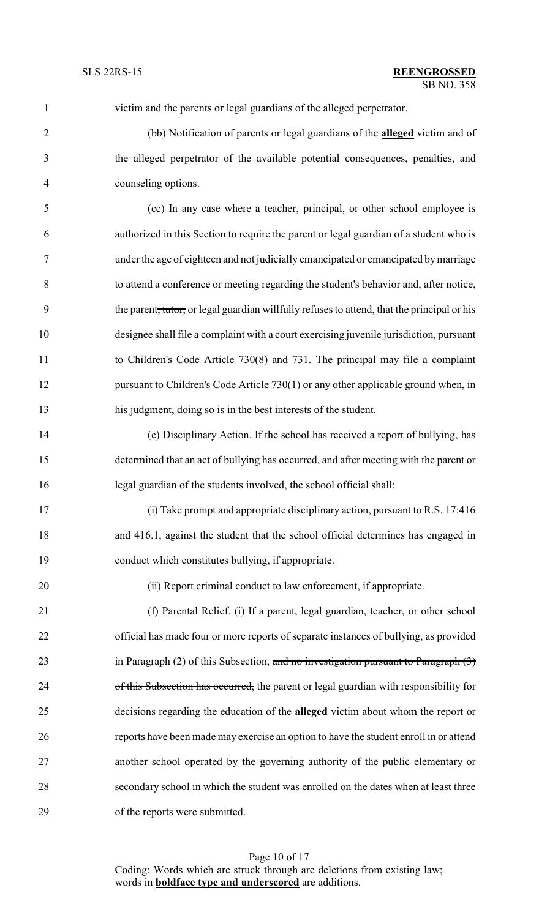| $\mathbf{1}$   | victim and the parents or legal guardians of the alleged perpetrator.                                   |
|----------------|---------------------------------------------------------------------------------------------------------|
| $\overline{2}$ | (bb) Notification of parents or legal guardians of the alleged victim and of                            |
| 3              | the alleged perpetrator of the available potential consequences, penalties, and                         |
| 4              | counseling options.                                                                                     |
| 5              | (cc) In any case where a teacher, principal, or other school employee is                                |
| 6              | authorized in this Section to require the parent or legal guardian of a student who is                  |
| 7              | under the age of eighteen and not judicially emancipated or emancipated by marriage                     |
| $8\,$          | to attend a conference or meeting regarding the student's behavior and, after notice,                   |
| 9              | the parent <del>, tutor,</del> or legal guardian willfully refuses to attend, that the principal or his |
| 10             | designee shall file a complaint with a court exercising juvenile jurisdiction, pursuant                 |
| 11             | to Children's Code Article 730(8) and 731. The principal may file a complaint                           |
| 12             | pursuant to Children's Code Article 730(1) or any other applicable ground when, in                      |
| 13             | his judgment, doing so is in the best interests of the student.                                         |
| 14             | (e) Disciplinary Action. If the school has received a report of bullying, has                           |
| 15             | determined that an act of bullying has occurred, and after meeting with the parent or                   |
| 16             | legal guardian of the students involved, the school official shall:                                     |
| 17             | (i) Take prompt and appropriate disciplinary action, pursuant to R.S. 17:416                            |
| 18             | and 416.1, against the student that the school official determines has engaged in                       |
| 19             | conduct which constitutes bullying, if appropriate.                                                     |
| 20             | (ii) Report criminal conduct to law enforcement, if appropriate.                                        |
| 21             | (f) Parental Relief. (i) If a parent, legal guardian, teacher, or other school                          |
| 22             | official has made four or more reports of separate instances of bullying, as provided                   |
| 23             | in Paragraph $(2)$ of this Subsection, and no investigation pursuant to Paragraph $(3)$                 |
| 24             | of this Subsection has occurred, the parent or legal guardian with responsibility for                   |
| 25             | decisions regarding the education of the <b>alleged</b> victim about whom the report or                 |
| 26             | reports have been made may exercise an option to have the student enroll in or attend                   |
| 27             | another school operated by the governing authority of the public elementary or                          |
| 28             | secondary school in which the student was enrolled on the dates when at least three                     |
| 29             | of the reports were submitted.                                                                          |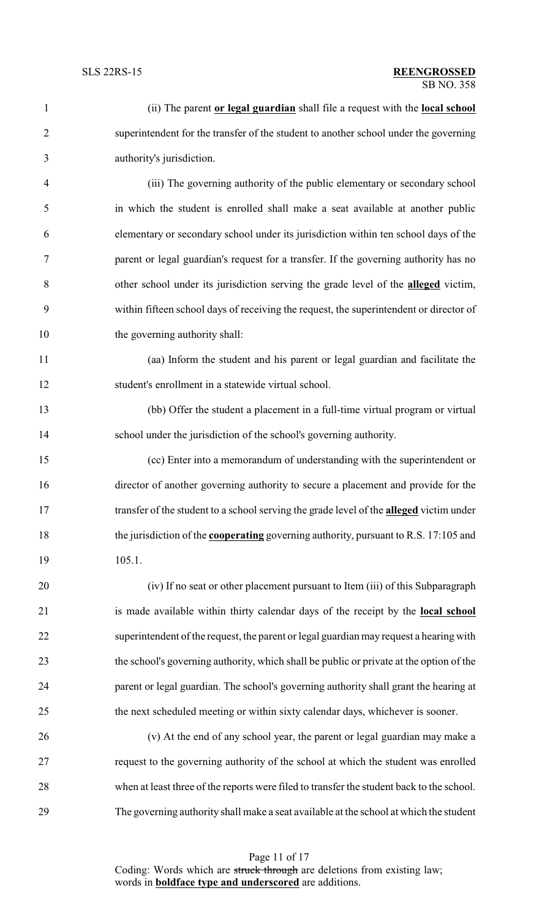| $\mathbf{1}$   | (ii) The parent or legal guardian shall file a request with the local school                |
|----------------|---------------------------------------------------------------------------------------------|
| $\overline{2}$ | superintendent for the transfer of the student to another school under the governing        |
| 3              | authority's jurisdiction.                                                                   |
| $\overline{4}$ | (iii) The governing authority of the public elementary or secondary school                  |
| 5              | in which the student is enrolled shall make a seat available at another public              |
| 6              | elementary or secondary school under its jurisdiction within ten school days of the         |
| $\tau$         | parent or legal guardian's request for a transfer. If the governing authority has no        |
| $8\,$          | other school under its jurisdiction serving the grade level of the <b>alleged</b> victim,   |
| 9              | within fifteen school days of receiving the request, the superintendent or director of      |
| 10             | the governing authority shall:                                                              |
| 11             | (aa) Inform the student and his parent or legal guardian and facilitate the                 |
| 12             | student's enrollment in a statewide virtual school.                                         |
| 13             | (bb) Offer the student a placement in a full-time virtual program or virtual                |
| 14             | school under the jurisdiction of the school's governing authority.                          |
| 15             | (cc) Enter into a memorandum of understanding with the superintendent or                    |
| 16             | director of another governing authority to secure a placement and provide for the           |
| 17             | transfer of the student to a school serving the grade level of the alleged victim under     |
| 18             | the jurisdiction of the <b>cooperating</b> governing authority, pursuant to R.S. 17:105 and |
| 19             | 105.1.                                                                                      |
| 20             | (iv) If no seat or other placement pursuant to Item (iii) of this Subparagraph              |
| 21             | is made available within thirty calendar days of the receipt by the local school            |
| 22             | superintendent of the request, the parent or legal guardian may request a hearing with      |
| 23             | the school's governing authority, which shall be public or private at the option of the     |
| 24             | parent or legal guardian. The school's governing authority shall grant the hearing at       |
| 25             | the next scheduled meeting or within sixty calendar days, whichever is sooner.              |
| 26             | (v) At the end of any school year, the parent or legal guardian may make a                  |
| 27             | request to the governing authority of the school at which the student was enrolled          |
| 28             | when at least three of the reports were filed to transfer the student back to the school.   |
| 29             | The governing authority shall make a seat available at the school at which the student      |
|                |                                                                                             |

Page 11 of 17 Coding: Words which are struck through are deletions from existing law; words in **boldface type and underscored** are additions.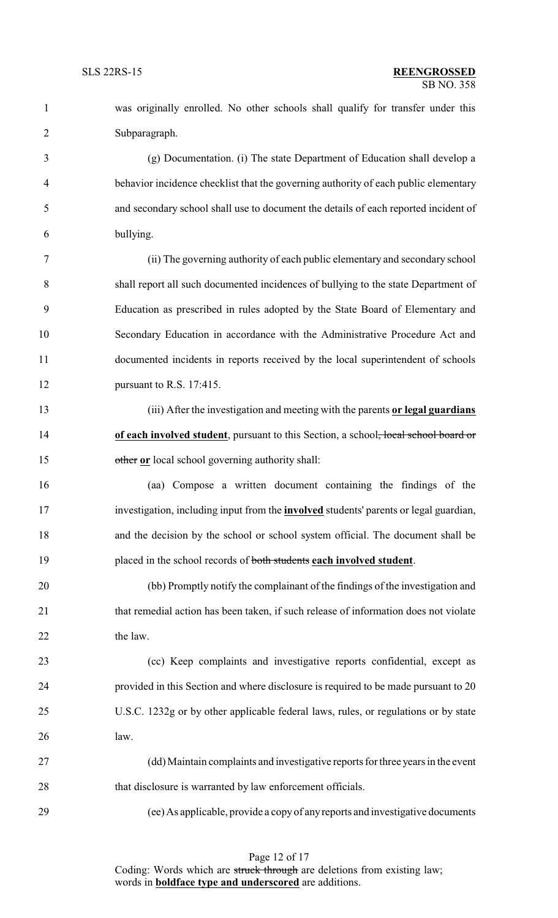was originally enrolled. No other schools shall qualify for transfer under this Subparagraph. (g) Documentation. (i) The state Department of Education shall develop a behavior incidence checklist that the governing authority of each public elementary and secondary school shall use to document the details of each reported incident of bullying. (ii) The governing authority of each public elementary and secondary school shall report all such documented incidences of bullying to the state Department of Education as prescribed in rules adopted by the State Board of Elementary and Secondary Education in accordance with the Administrative Procedure Act and documented incidents in reports received by the local superintendent of schools pursuant to R.S. 17:415. (iii) After the investigation and meeting with the parents **or legal guardians of each involved student**, pursuant to this Section, a school<del>, local school board or</del> other **or** local school governing authority shall: (aa) Compose a written document containing the findings of the investigation, including input from the **involved** students' parents or legal guardian, and the decision by the school or school system official. The document shall be placed in the school records of both students **each involved student**. (bb) Promptly notify the complainant of the findings of the investigation and 21 that remedial action has been taken, if such release of information does not violate

22 the law.

 (cc) Keep complaints and investigative reports confidential, except as provided in this Section and where disclosure is required to be made pursuant to 20 U.S.C. 1232g or by other applicable federal laws, rules, or regulations or by state law.

 (dd) Maintain complaints and investigative reports for three years in the event 28 that disclosure is warranted by law enforcement officials.

(ee) As applicable, provide a copy of anyreports and investigative documents

Page 12 of 17 Coding: Words which are struck through are deletions from existing law; words in **boldface type and underscored** are additions.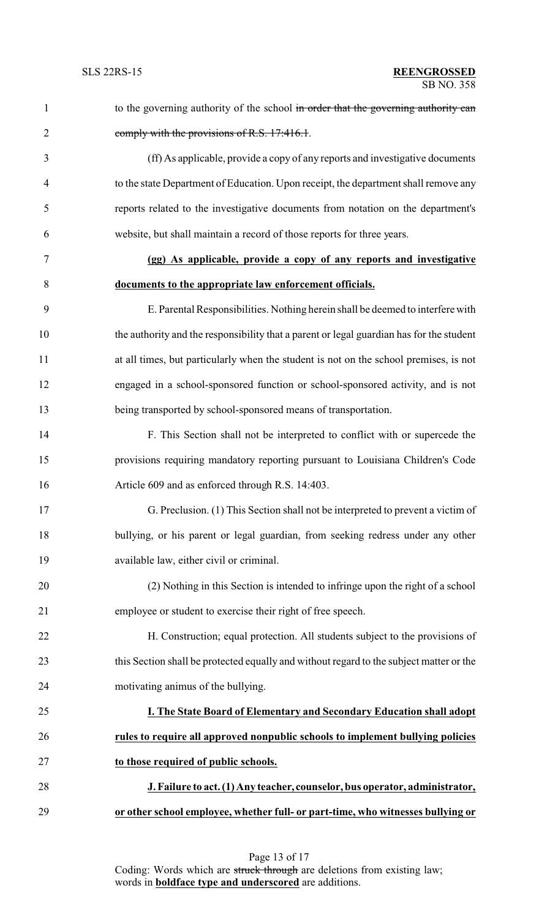| $\mathbf{1}$   | to the governing authority of the school in order that the governing authority can       |
|----------------|------------------------------------------------------------------------------------------|
| $\overline{2}$ | comply with the provisions of R.S. 17:416.1.                                             |
| 3              | (ff) As applicable, provide a copy of any reports and investigative documents            |
| $\overline{4}$ | to the state Department of Education. Upon receipt, the department shall remove any      |
| 5              | reports related to the investigative documents from notation on the department's         |
| 6              | website, but shall maintain a record of those reports for three years.                   |
| 7              | (gg) As applicable, provide a copy of any reports and investigative                      |
| 8              | documents to the appropriate law enforcement officials.                                  |
| 9              | E. Parental Responsibilities. Nothing herein shall be deemed to interfere with           |
| 10             | the authority and the responsibility that a parent or legal guardian has for the student |
| 11             | at all times, but particularly when the student is not on the school premises, is not    |
| 12             | engaged in a school-sponsored function or school-sponsored activity, and is not          |
| 13             | being transported by school-sponsored means of transportation.                           |
| 14             | F. This Section shall not be interpreted to conflict with or supercede the               |
| 15             | provisions requiring mandatory reporting pursuant to Louisiana Children's Code           |
| 16             | Article 609 and as enforced through R.S. 14:403.                                         |
| 17             | G. Preclusion. (1) This Section shall not be interpreted to prevent a victim of          |
| 18             | bullying, or his parent or legal guardian, from seeking redress under any other          |
| 19             | available law, either civil or criminal.                                                 |
| 20             | (2) Nothing in this Section is intended to infringe upon the right of a school           |
| 21             | employee or student to exercise their right of free speech.                              |
| 22             | H. Construction; equal protection. All students subject to the provisions of             |
| 23             | this Section shall be protected equally and without regard to the subject matter or the  |
| 24             | motivating animus of the bullying.                                                       |
| 25             | I. The State Board of Elementary and Secondary Education shall adopt                     |
| 26             | rules to require all approved nonpublic schools to implement bullying policies           |
| 27             | to those required of public schools.                                                     |
| 28             | J. Failure to act. (1) Any teacher, counselor, bus operator, administrator,              |
| 29             | or other school employee, whether full- or part-time, who witnesses bullying or          |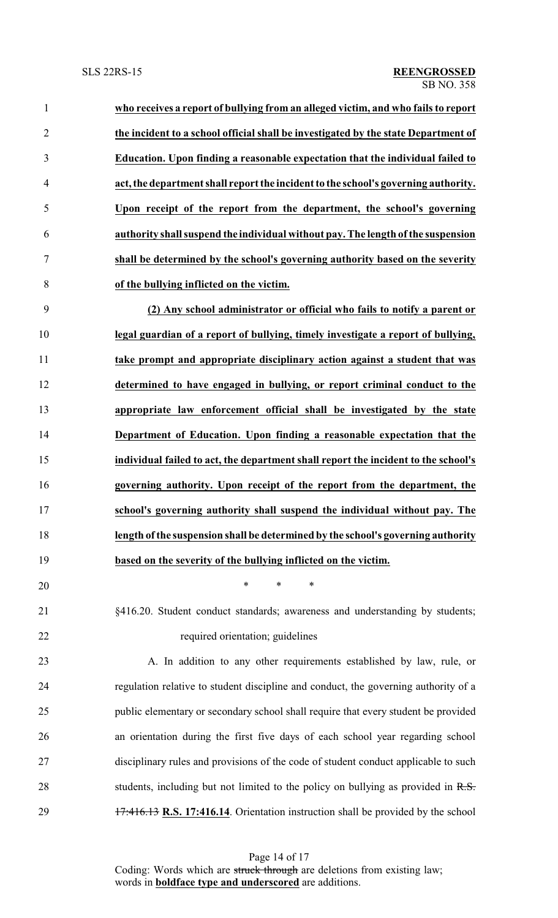- **who receives a report of bullying from an alleged victim, and who fails to report the incident to a school official shall be investigated by the state Department of Education. Upon finding a reasonable expectation that the individual failed to act, the department shall report the incident to the school's governing authority. Upon receipt of the report from the department, the school's governing authority shall suspend the individual without pay. The length ofthe suspension shall be determined by the school's governing authority based on the severity of the bullying inflicted on the victim. (2) Any school administrator or official who fails to notify a parent or legal guardian of a report of bullying, timely investigate a report of bullying,**
- **take prompt and appropriate disciplinary action against a student that was determined to have engaged in bullying, or report criminal conduct to the appropriate law enforcement official shall be investigated by the state Department of Education. Upon finding a reasonable expectation that the individual failed to act, the department shall report the incident to the school's governing authority. Upon receipt of the report from the department, the school's governing authority shall suspend the individual without pay. The length ofthe suspension shall be determined by the school's governing authority based on the severity of the bullying inflicted on the victim.**
- §416.20. Student conduct standards; awareness and understanding by students; 22 required orientation; guidelines

\* \* \*

 A. In addition to any other requirements established by law, rule, or regulation relative to student discipline and conduct, the governing authority of a public elementary or secondary school shall require that every student be provided an orientation during the first five days of each school year regarding school disciplinary rules and provisions of the code of student conduct applicable to such 28 students, including but not limited to the policy on bullying as provided in R.S. 17:416.13 **R.S. 17:416.14**. Orientation instruction shall be provided by the school

Page 14 of 17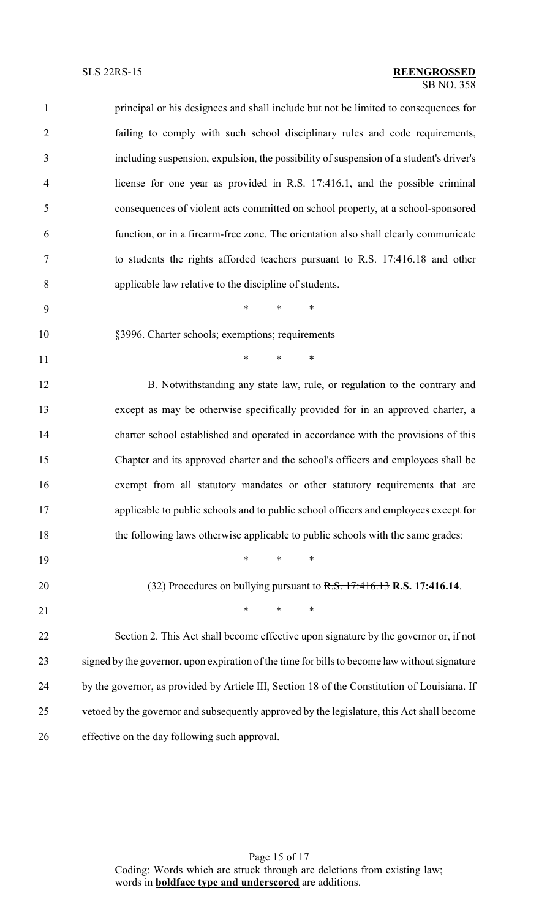| $\mathbf{1}$   | principal or his designees and shall include but not be limited to consequences for           |
|----------------|-----------------------------------------------------------------------------------------------|
| $\overline{2}$ | failing to comply with such school disciplinary rules and code requirements,                  |
| 3              | including suspension, expulsion, the possibility of suspension of a student's driver's        |
| $\overline{4}$ | license for one year as provided in R.S. 17:416.1, and the possible criminal                  |
| 5              | consequences of violent acts committed on school property, at a school-sponsored              |
| 6              | function, or in a firearm-free zone. The orientation also shall clearly communicate           |
| $\tau$         | to students the rights afforded teachers pursuant to R.S. 17:416.18 and other                 |
| 8              | applicable law relative to the discipline of students.                                        |
| 9              | $\ast$<br>$\ast$<br>∗                                                                         |
| 10             | §3996. Charter schools; exemptions; requirements                                              |
| 11             | $\ast$<br>$\ast$<br>$\ast$                                                                    |
| 12             | B. Notwithstanding any state law, rule, or regulation to the contrary and                     |
| 13             | except as may be otherwise specifically provided for in an approved charter, a                |
| 14             | charter school established and operated in accordance with the provisions of this             |
| 15             | Chapter and its approved charter and the school's officers and employees shall be             |
| 16             | exempt from all statutory mandates or other statutory requirements that are                   |
| 17             | applicable to public schools and to public school officers and employees except for           |
| 18             | the following laws otherwise applicable to public schools with the same grades:               |
| 19             | $\ast$<br>*<br>$\ast$                                                                         |
| 20             | (32) Procedures on bullying pursuant to R.S. 17:416.13 R.S. 17:416.14.                        |
| 21             | *<br>$\ast$<br>$\ast$                                                                         |
| 22             | Section 2. This Act shall become effective upon signature by the governor or, if not          |
| 23             | signed by the governor, upon expiration of the time for bills to become law without signature |
| 24             | by the governor, as provided by Article III, Section 18 of the Constitution of Louisiana. If  |
| 25             | vetoed by the governor and subsequently approved by the legislature, this Act shall become    |
| 26             | effective on the day following such approval.                                                 |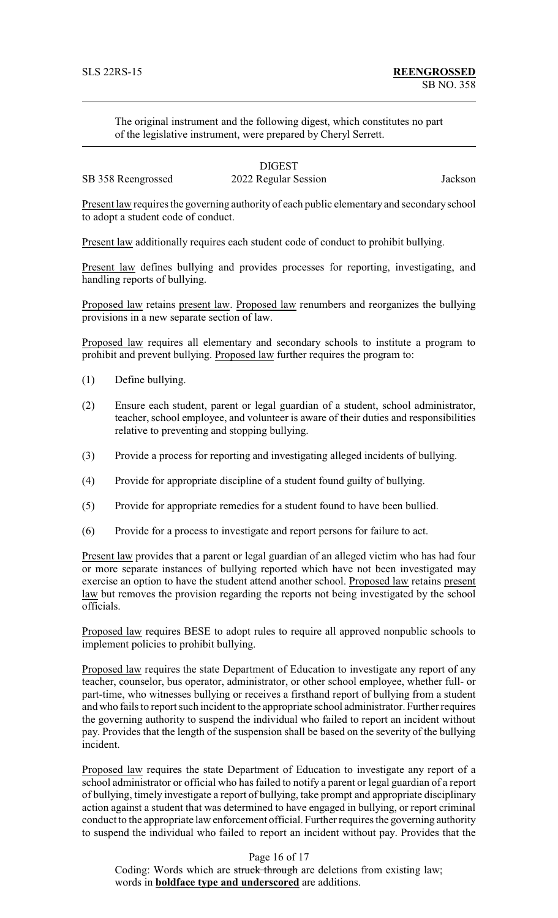The original instrument and the following digest, which constitutes no part of the legislative instrument, were prepared by Cheryl Serrett.

## **DIGEST** SB 358 Reengrossed 2022 Regular Session Jackson

Present law requires the governing authority of each public elementary and secondaryschool to adopt a student code of conduct.

Present law additionally requires each student code of conduct to prohibit bullying.

Present law defines bullying and provides processes for reporting, investigating, and handling reports of bullying.

Proposed law retains present law. Proposed law renumbers and reorganizes the bullying provisions in a new separate section of law.

Proposed law requires all elementary and secondary schools to institute a program to prohibit and prevent bullying. Proposed law further requires the program to:

- (1) Define bullying.
- (2) Ensure each student, parent or legal guardian of a student, school administrator, teacher, school employee, and volunteer is aware of their duties and responsibilities relative to preventing and stopping bullying.
- (3) Provide a process for reporting and investigating alleged incidents of bullying.
- (4) Provide for appropriate discipline of a student found guilty of bullying.
- (5) Provide for appropriate remedies for a student found to have been bullied.
- (6) Provide for a process to investigate and report persons for failure to act.

Present law provides that a parent or legal guardian of an alleged victim who has had four or more separate instances of bullying reported which have not been investigated may exercise an option to have the student attend another school. Proposed law retains present law but removes the provision regarding the reports not being investigated by the school officials.

Proposed law requires BESE to adopt rules to require all approved nonpublic schools to implement policies to prohibit bullying.

Proposed law requires the state Department of Education to investigate any report of any teacher, counselor, bus operator, administrator, or other school employee, whether full- or part-time, who witnesses bullying or receives a firsthand report of bullying from a student and who fails to report such incident to the appropriate school administrator. Further requires the governing authority to suspend the individual who failed to report an incident without pay. Provides that the length of the suspension shall be based on the severity of the bullying incident.

Proposed law requires the state Department of Education to investigate any report of a school administrator or official who has failed to notify a parent or legal guardian of a report of bullying, timely investigate a report of bullying, take prompt and appropriate disciplinary action against a student that was determined to have engaged in bullying, or report criminal conduct to the appropriate law enforcement official. Further requires the governing authority to suspend the individual who failed to report an incident without pay. Provides that the

## Page 16 of 17

Coding: Words which are struck through are deletions from existing law; words in **boldface type and underscored** are additions.